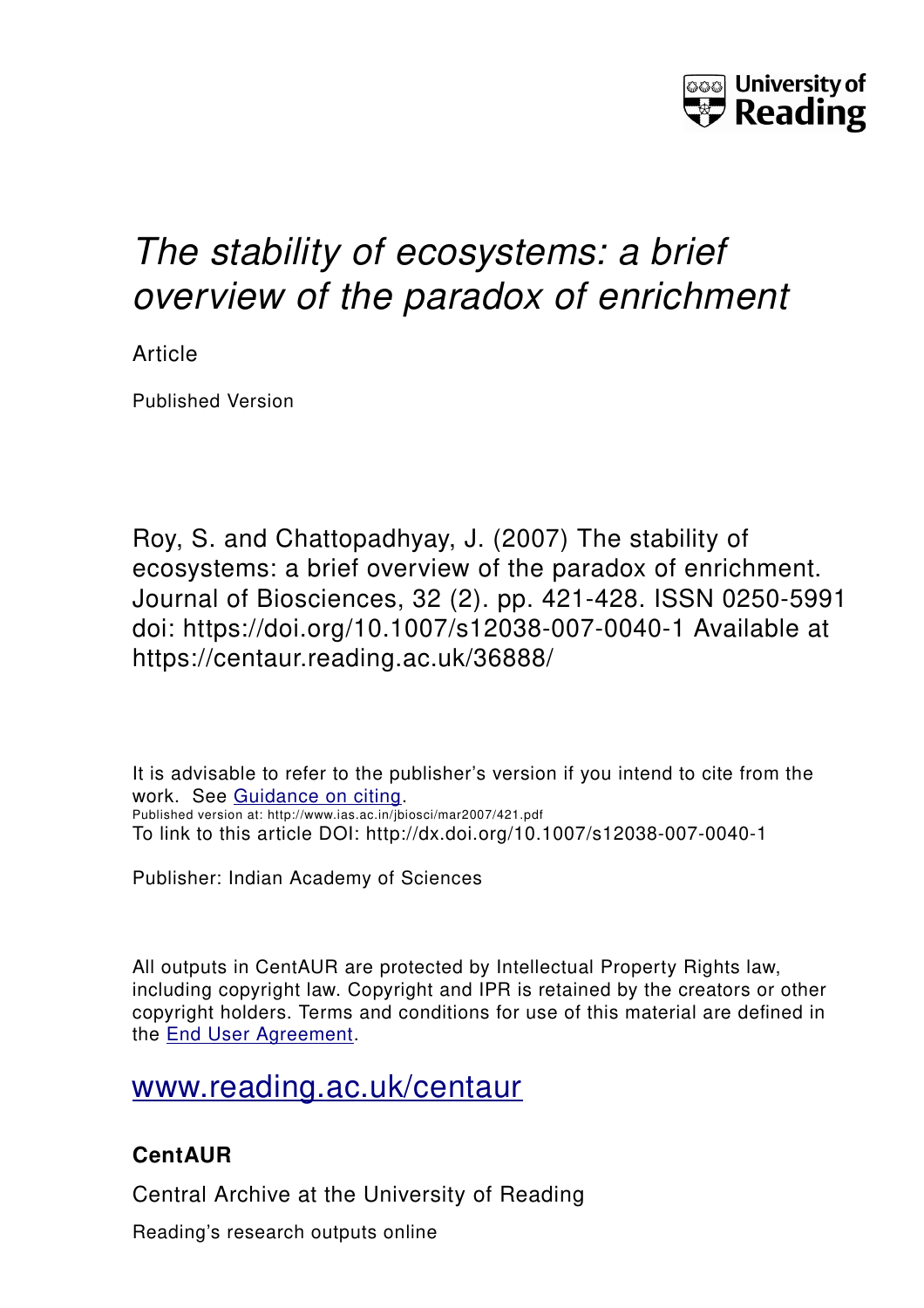

# *The stability of ecosystems: a brief overview of the paradox of enrichment*

Article

Published Version

Roy, S. and Chattopadhyay, J. (2007) The stability of ecosystems: a brief overview of the paradox of enrichment. Journal of Biosciences, 32 (2). pp. 421-428. ISSN 0250-5991 doi: https://doi.org/10.1007/s12038-007-0040-1 Available at https://centaur.reading.ac.uk/36888/

It is advisable to refer to the publisher's version if you intend to cite from the work. See [Guidance on citing.](http://centaur.reading.ac.uk/71187/10/CentAUR%20citing%20guide.pdf) Published version at: http://www.ias.ac.in/jbiosci/mar2007/421.pdf To link to this article DOI: http://dx.doi.org/10.1007/s12038-007-0040-1

Publisher: Indian Academy of Sciences

All outputs in CentAUR are protected by Intellectual Property Rights law, including copyright law. Copyright and IPR is retained by the creators or other copyright holders. Terms and conditions for use of this material are defined in the [End User Agreement.](http://centaur.reading.ac.uk/licence)

[www.reading.ac.uk/centaur](http://www.reading.ac.uk/centaur)

## **CentAUR**

Central Archive at the University of Reading

Reading's research outputs online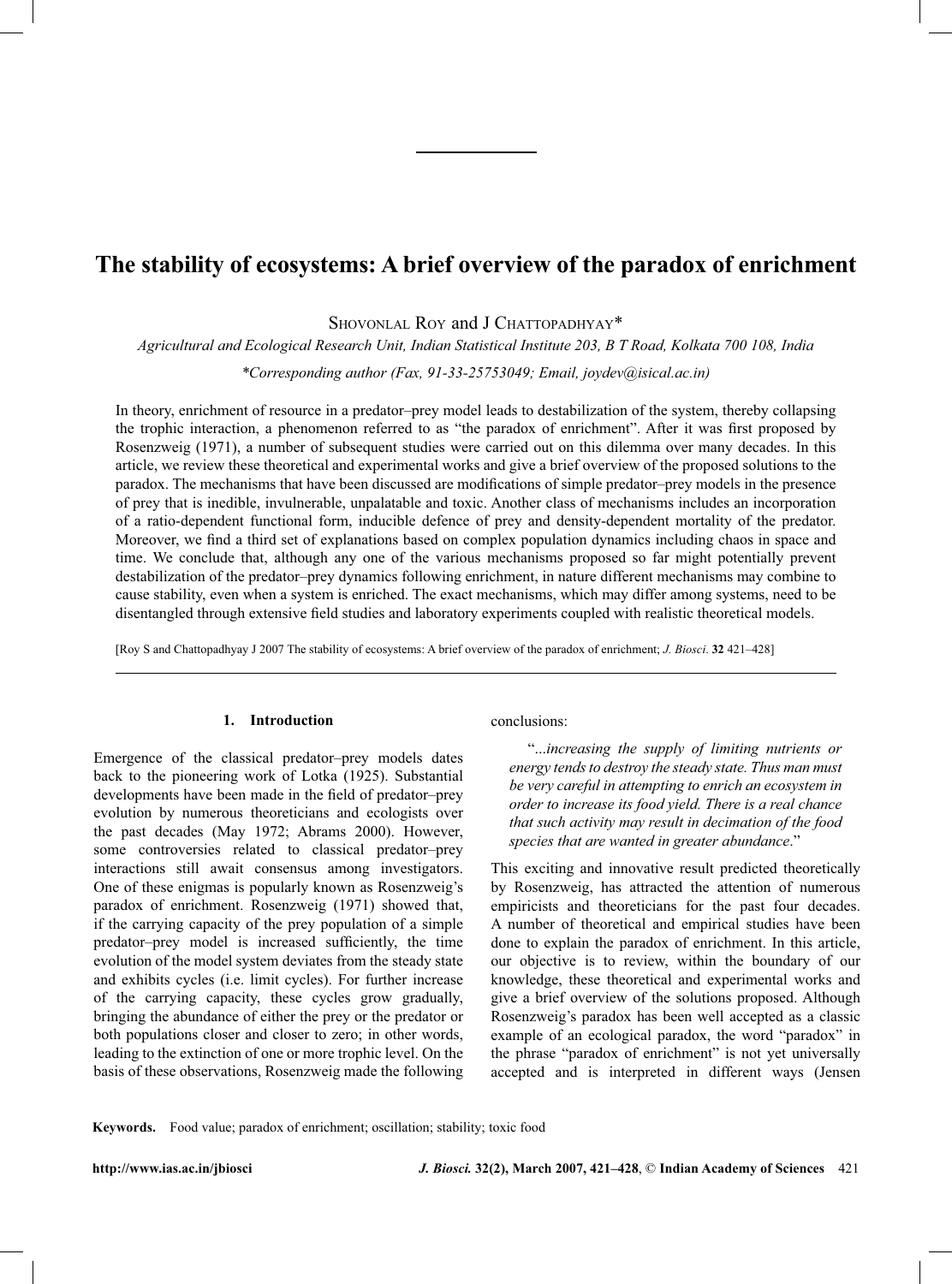## **The stability of ecosystems: A brief overview of the paradox of enrichment**

SHOVONLAL ROY and J CHATTOPADHYAY\*

*Agricultural and Ecological Research Unit, Indian Statistical Institute 203, B T Road, Kolkata 700 108, India*

*\*Corresponding author (Fax, 91-33-25753049; Email, joydev@isical.ac.in)*

In theory, enrichment of resource in a predator–prey model leads to destabilization of the system, thereby collapsing the trophic interaction, a phenomenon referred to as "the paradox of enrichment". After it was first proposed by Rosenzweig (1971), a number of subsequent studies were carried out on this dilemma over many decades. In this article, we review these theoretical and experimental works and give a brief overview of the proposed solutions to the paradox. The mechanisms that have been discussed are modifications of simple predator–prey models in the presence of prey that is inedible, invulnerable, unpalatable and toxic. Another class of mechanisms includes an incorporation of a ratio-dependent functional form, inducible defence of prey and density-dependent mortality of the predator. Moreover, we find a third set of explanations based on complex population dynamics including chaos in space and time. We conclude that, although any one of the various mechanisms proposed so far might potentially prevent destabilization of the predator–prey dynamics following enrichment, in nature different mechanisms may combine to cause stability, even when a system is enriched. The exact mechanisms, which may differ among systems, need to be disentangled through extensive field studies and laboratory experiments coupled with realistic theoretical models.

[Roy S and Chattopadhyay J 2007 The stability of ecosystems: A brief overview of the paradox of enrichment; *J. Biosci*. **32** 421–428]

#### **1. Introduction**

Emergence of the classical predator–prey models dates back to the pioneering work of Lotka (1925). Substantial developments have been made in the field of predator–prey evolution by numerous theoreticians and ecologists over the past decades (May 1972; Abrams 2000). However, some controversies related to classical predator–prey interactions still await consensus among investigators. One of these enigmas is popularly known as Rosenzweig's paradox of enrichment. Rosenzweig (1971) showed that, if the carrying capacity of the prey population of a simple predator-prey model is increased sufficiently, the time evolution of the model system deviates from the steady state and exhibits cycles (i.e. limit cycles). For further increase of the carrying capacity, these cycles grow gradually, bringing the abundance of either the prey or the predator or both populations closer and closer to zero; in other words, leading to the extinction of one or more trophic level. On the basis of these observations, Rosenzweig made the following conclusions:

"...*increasing the supply of limiting nutrients or energy tends to destroy the steady state. Thus man must*  be very careful in attempting to enrich an ecosystem in *order to increase its food yield. There is a real chance that such activity may result in decimation of the food species that are wanted in greater abundance*."

This exciting and innovative result predicted theoretically by Rosenzweig, has attracted the attention of numerous empiricists and theoreticians for the past four decades. A number of theoretical and empirical studies have been done to explain the paradox of enrichment. In this article, our objective is to review, within the boundary of our knowledge, these theoretical and experimental works and give a brief overview of the solutions proposed. Although Rosenzweig's paradox has been well accepted as a classic example of an ecological paradox, the word "paradox" in the phrase "paradox of enrichment" is not yet universally accepted and is interpreted in different ways (Jensen

**Keywords.** Food value; paradox of enrichment; oscillation; stability; toxic food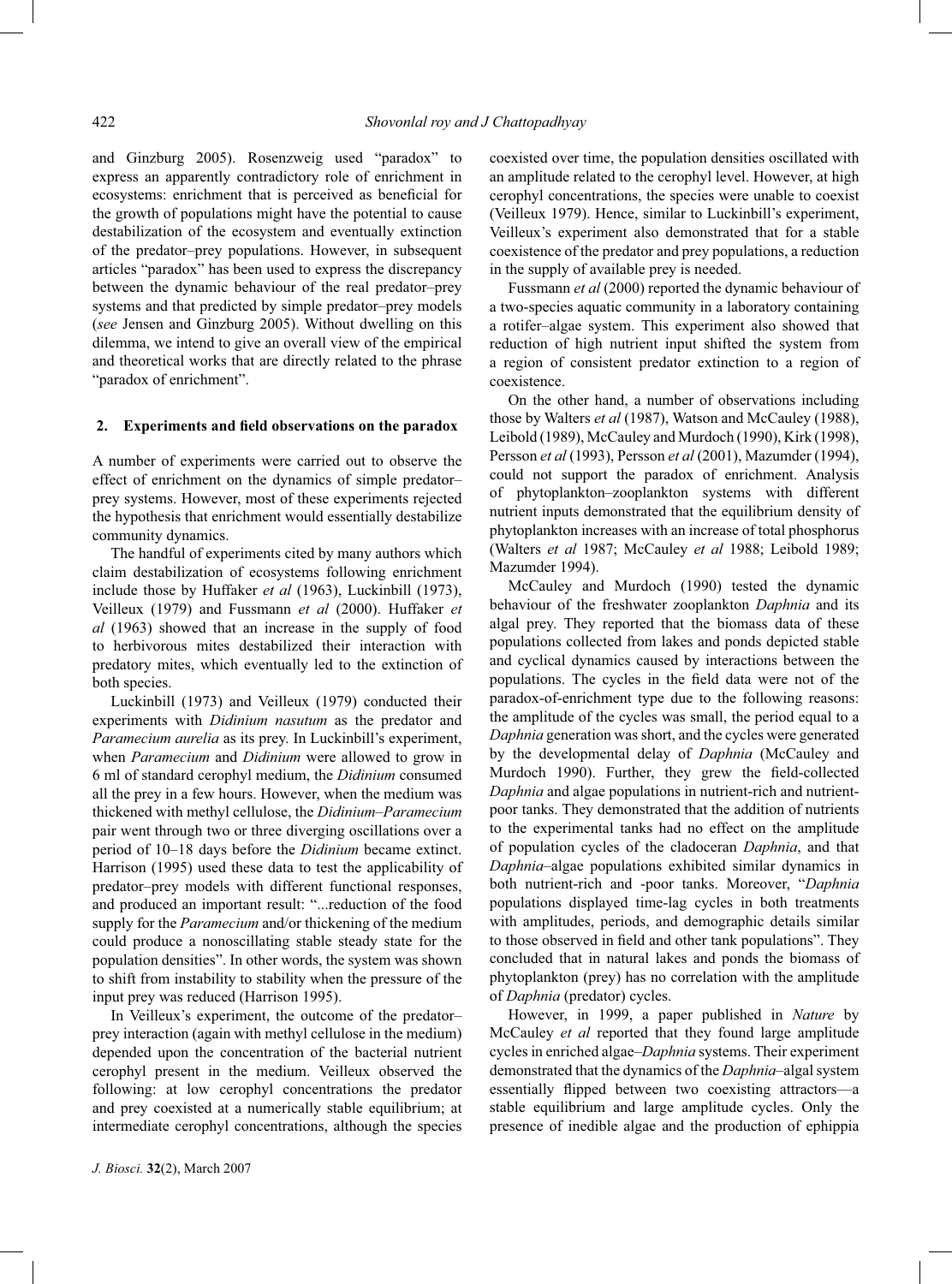and Ginzburg 2005). Rosenzweig used "paradox" to express an apparently contradictory role of enrichment in ecosystems: en richment that is perceived as beneficial for the growth of populations might have the potential to cause destabilization of the ecosystem and eventually extinction of the predator–prey populations. However, in subsequent articles "paradox" has been used to express the discrepancy between the dynamic behaviour of the real predator–prey systems and that predicted by simple predator–prey models (*see* Jensen and Ginzburg 2005). Without dwelling on this dilemma, we intend to give an overall view of the empirical and theoretical works that are directly related to the phrase "paradox of enrichment".

#### **2. Experiments and field observations on the paradox**

A number of experiments were carried out to observe the effect of enrichment on the dynamics of simple predatorprey systems. However, most of these experiments rejected the hypothesis that enrichment would essentially destabilize community dynamics.

The handful of experiments cited by many authors which claim destabilization of ecosystems following enrichment include those by Huffaker *et al* (1963), Luckinbill (1973), Veilleux (1979) and Fussmann *et al* (2000). Huffaker *et al* (1963) showed that an increase in the supply of food to herbivorous mites destabilized their interaction with predatory mites, which eventually led to the extinction of both species.

Luckinbill (1973) and Veilleux (1979) conducted their experiments with *Didinium nasutum* as the predator and *Paramecium aurelia* as its prey. In Luckinbill's experiment, when *Paramecium* and *Didinium* were allowed to grow in 6 ml of standard cerophyl medium, the *Didinium* consumed all the prey in a few hours. However, when the medium was thickened with methyl cellulose, the *Didinium*–*Paramecium*  pair went through two or three diverging oscillations over a period of 10–18 days before the *Didinium* became extinct. Harrison (1995) used these data to test the applicability of predator–prey models with different functional responses, and produced an important result: "...reduction of the food supply for the *Paramecium* and/or thickening of the medium could produce a nonoscillating stable steady state for the population densities". In other words, the system was shown to shift from instability to stability when the pressure of the input prey was reduced (Harrison 1995).

In Veilleux's experiment, the outcome of the predator– prey interaction (again with methyl cellulose in the medium) depended upon the concentration of the bacterial nutrient cerophyl present in the medium. Veilleux observed the following: at low cerophyl concentrations the predator and prey coex isted at a numerically stable equilibrium; at intermediate cerophyl concentrations, although the species coexisted over time, the population densities oscillated with an amplitude related to the cerophyl level. However, at high cerophyl concentrations, the species were unable to coexist (Veilleux 1979). Hence, similar to Luckinbill's experiment, Veilleux's experiment also demonstrated that for a stable coexistence of the predator and prey populations, a reduction in the supply of available prey is needed.

Fussmann *et al* (2000) reported the dynamic behaviour of a two-species aquatic community in a laboratory containing a rotifer–algae system. This experiment also showed that reduction of high nutrient input shifted the system from a region of consistent predator extinction to a region of coexistence.

On the other hand, a number of observations including those by Walters *et al* (1987), Watson and McCauley (1988), Leibold (1989), McCauley and Murdoch (1990), Kirk (1998), Persson *et al* (1993), Persson *et al* (2001), Mazumder (1994), could not support the paradox of enrichment. Analysis of phytoplankton–zooplankton systems with different nutrient inputs demonstrated that the equilibrium density of phytoplankton increases with an increase of total phosphorus (Walters *et al* 1987; McCauley *et al* 1988; Leibold 1989; Mazumder 1994).

McCauley and Murdoch (1990) tested the dynamic behaviour of the freshwater zooplankton *Daphnia* and its algal prey. They reported that the biomass data of these populations collected from lakes and ponds depicted stable and cyclical dynamics caused by interactions between the populations. The cycles in the field data were not of the paradox-of-enrichment type due to the following reasons: the amplitude of the cycles was small, the period equal to a *Daphnia* generation was short, and the cycles were generated by the developmental delay of *Daphnia* (McCauley and Murdoch 1990). Further, they grew the field-collected *Daphnia* and algae populations in nutrient-rich and nutrientpoor tanks. They demonstrated that the addition of nutrients to the experimental tanks had no effect on the amplitude of population cycles of the cladoceran *Daphnia*, and that *Daphnia*–algae populations exhibited similar dynamics in both nutrient-rich and -poor tanks. Moreover, "*Daphnia*  populations displayed time-lag cycles in both treatments with amplitudes, periods, and demographic details similar to those observed in field and other tank populations". They concluded that in natural lakes and ponds the biomass of phytoplankton (prey) has no correlation with the amplitude of *Daphnia* (predator) cycles.

However, in 1999, a paper published in *Nature* by McCauley *et al* reported that they found large amplitude cycles in enriched algae–*Daphnia* systems. Their experiment demonstrated that the dynamics of the *Daphnia*–algal system essentially flipped between two coexisting attractors—a stable equilibrium and large amplitude cycles. Only the presence of inedible algae and the production of ephippia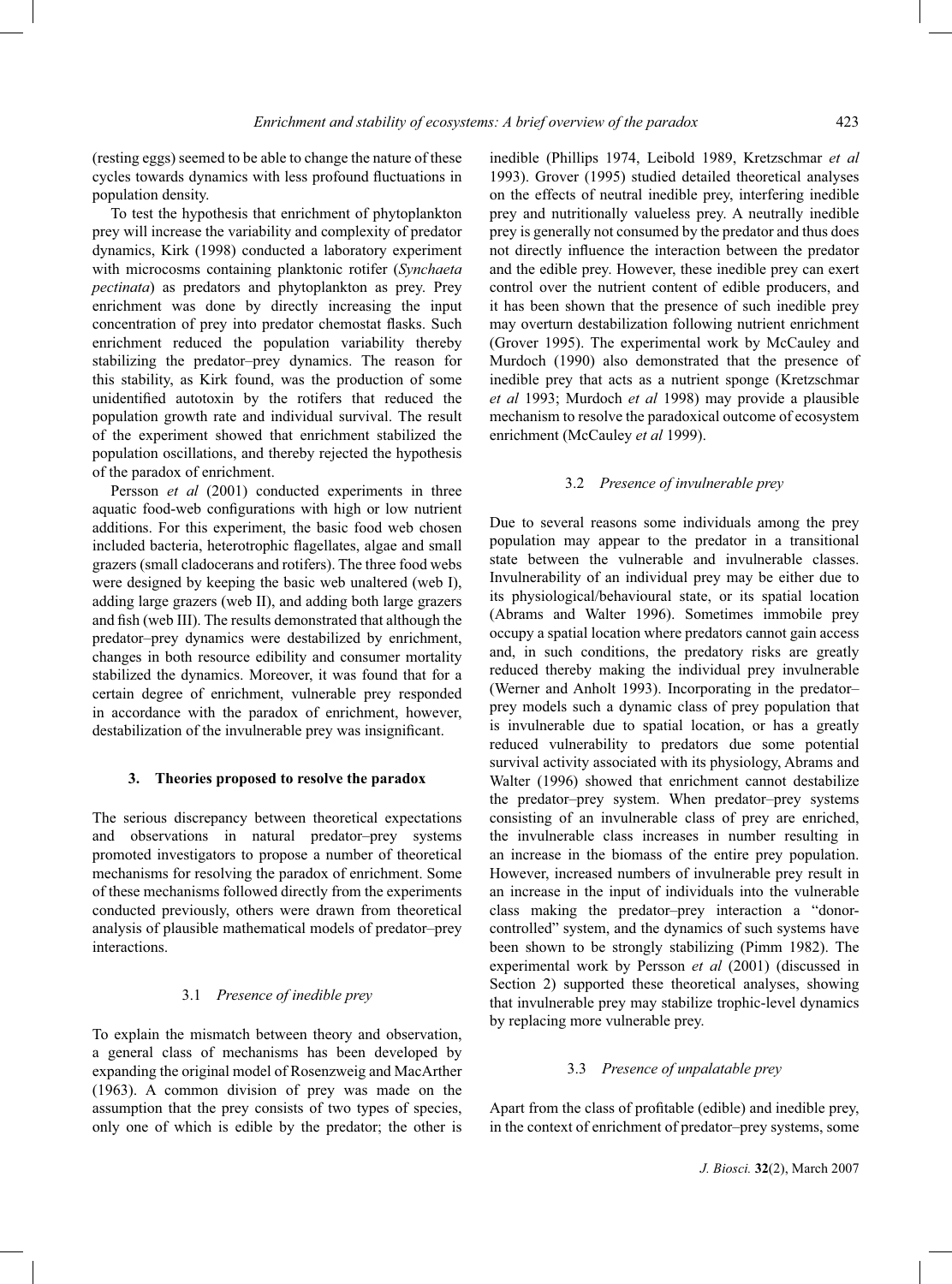(resting eggs) seemed to be able to change the nature of these cycles towards dynamics with less profound fluctuations in population density.

To test the hypothesis that enrichment of phytoplankton prey will increase the variability and complexity of predator dynamics, Kirk (1998) conducted a laboratory experiment with microcosms containing planktonic rotifer (*Synchaeta pectinata*) as predators and phytoplankton as prey. Prey enrichment was done by directly increasing the input concentration of prey into predator chemostat flasks. Such enrichment reduced the population variability thereby stabilizing the predator-prey dynamics. The reason for this stability, as Kirk found, was the production of some unidentified autotoxin by the rotifers that reduced the population growth rate and individual survival. The result of the experiment showed that enrichment stabilized the population oscillations, and thereby rejected the hypothesis of the paradox of enrichment.

Persson *et al* (2001) conducted experiments in three aquatic food-web configurations with high or low nutrient additions. For this experiment, the basic food web chosen included bacteria, heterotrophic flagellates, algae and small grazers (small cladocerans and rotifers). The three food webs were designed by keeping the basic web unaltered (web I), adding large grazers (web II), and adding both large grazers and fish (web III). The results demonstrated that although the predator–prey dynamics were destabilized by enrichment, changes in both resource edibility and consumer mortality stabilized the dynamics. Moreover, it was found that for a certain degree of enrichment, vulnerable prey responded in accordance with the paradox of enrichment, however, destabilization of the invulnerable prey was insignificant.

#### **3. Theories proposed to resolve the paradox**

The serious discrepancy between theoretical expectations and observations in natural predator–prey systems promoted investigators to propose a number of theoretical mechanisms for resolving the paradox of enrichment. Some of these mechanisms followed directly from the experiments conducted previously, others were drawn from theoretical analysis of plausible mathematical models of predator-prey interactions.

#### 3.1 *Presence of inedible prey*

To explain the mismatch between theory and observation, a general class of mechanisms has been developed by expanding the original model of Rosenzweig and MacArther (1963). A common division of prey was made on the assumption that the prey consists of two types of species, only one of which is edible by the predator; the other is inedible (Phillips 1974, Leibold 1989, Kretzschmar *et al*  1993). Grover (1995) studied detailed theoretical analyses on the effects of neutral inedible prey, interfering inedible prey and nutritionally valueless prey. A neutrally inedible prey is generally not consumed by the predator and thus does not directly influence the interaction between the predator and the edible prey. However, these inedible prey can exert control over the nutrient content of edible producers, and it has been shown that the presence of such inedible prey may overturn destabilization following nutrient enrichment (Grover 1995). The experimental work by McCauley and Murdoch (1990) also demonstrated that the presence of inedible prey that acts as a nutrient sponge (Kretzschmar *et al* 1993; Murdoch *et al* 1998) may provide a plausible mechanism to resolve the paradoxical outcome of ecosystem enrichment (McCauley *et al* 1999).

#### 3.2 *Presence of invulnerable prey*

Due to several reasons some individuals among the prey population may appear to the predator in a transitional state between the vulnerable and invulnerable classes. Invulnerability of an individual prey may be either due to its physiological/behavioural state, or its spatial location (Abrams and Walter 1996). Sometimes immobile prey occupy a spatial location where predators cannot gain access and, in such conditions, the predatory risks are greatly reduced thereby making the individual prey invulnerable (Werner and Anholt 1993). Incorporating in the predatorprey models such a dynamic class of prey population that is invulnerable due to spatial location, or has a greatly reduced vulnerability to predators due some potential survival activity associated with its physiology, Abrams and Walter (1996) showed that enrichment cannot destabilize the predator–prey system. When predator–prey systems consisting of an invulnerable class of prey are enriched, the invulnerable class increases in number resulting in an increase in the biomass of the entire prey population. However, increased numbers of invulnerable prey result in an increase in the input of individuals into the vulnerable class making the predator–prey interaction a "donorcontrolled" system, and the dynamics of such systems have been shown to be strongly stabilizing (Pimm 1982). The experimental work by Persson *et al* (2001) (discussed in Section 2) supported these theoretical analyses, showing that invulnerable prey may stabilize trophic-level dynamics by replacing more vulnerable prey.

#### 3.3 *Presence of unpalatable prey*

Apart from the class of profitable (edible) and inedible prey, in the context of enrichment of predator–prey systems, some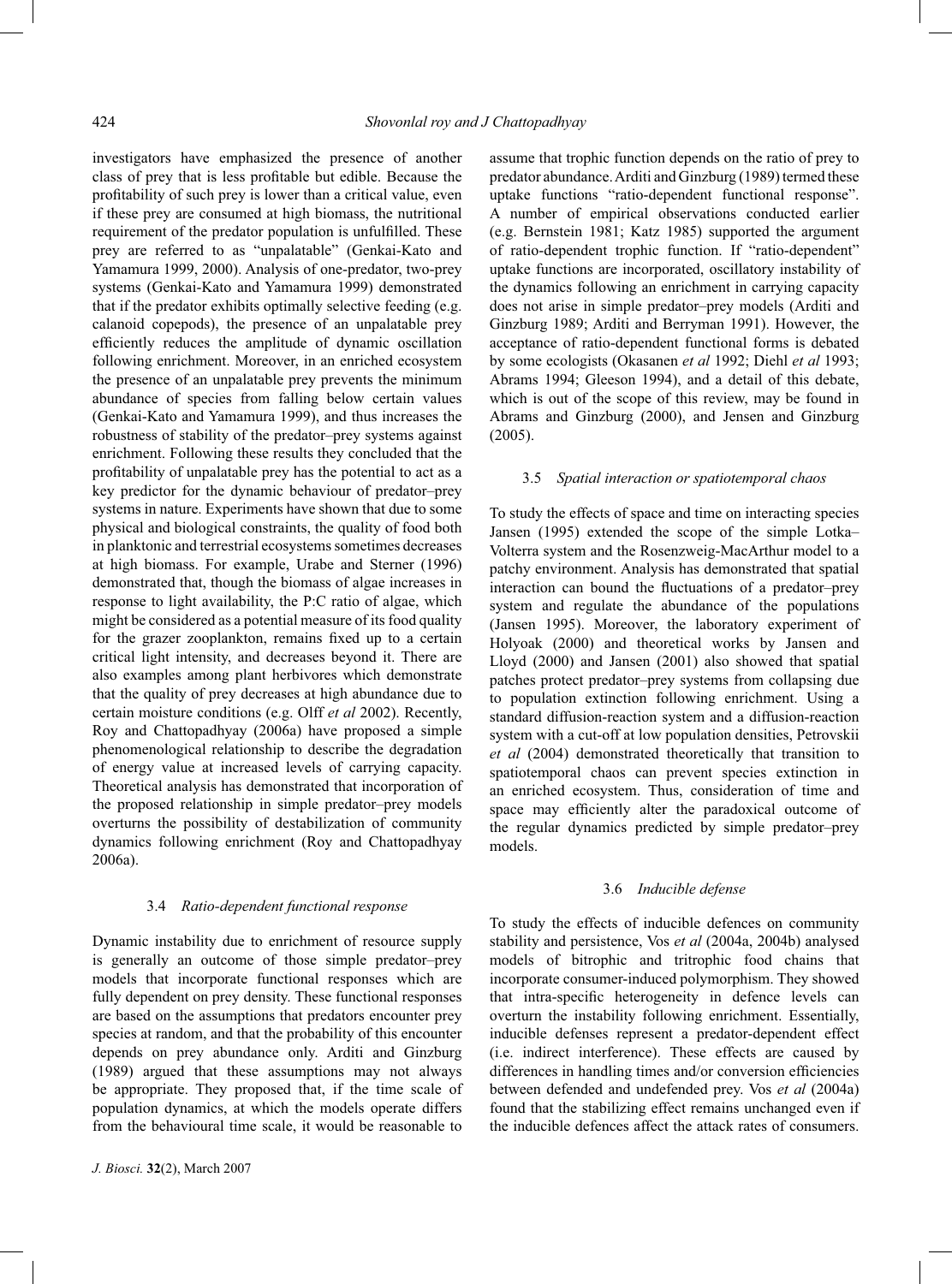investigators have emphasized the presence of another class of prey that is less profitable but edible. Because the profitability of such prey is lower than a critical value, even if these prey are consumed at high biomass, the nutritional requirement of the predator population is unfulfilled. These prey are referred to as "unpalatable" (Genkai-Kato and Yamamura 1999, 2000). Analysis of one-predator, two-prey systems (Genkai-Kato and Yamamura 1999) demonstrated that if the predator exhibits optimally selective feeding (e.g. calanoid copepods), the presence of an unpalatable prey efficiently reduces the amplitude of dynamic oscillation following enrichment. Moreover, in an enriched ecosystem the presence of an unpalatable prey prevents the minimum abundance of species from falling below certain values (Genkai-Kato and Yamamura 1999), and thus increases the robustness of stability of the predator–prey systems against enrichment. Following these results they concluded that the profitability of unpalatable prey has the potential to act as a key predictor for the dynamic behaviour of predator–prey systems in nature. Experiments have shown that due to some physical and biological constraints, the quality of food both in planktonic and terrestrial ecosystems sometimes decreases at high biomass. For example, Urabe and Sterner (1996) demonstrated that, though the biomass of algae increases in response to light availability, the P:C ratio of algae, which might be considered as a potential measure of its food quality for the grazer zooplankton, remains fixed up to a certain critical light intensity, and decreases beyond it. There are also examples among plant herbivores which demonstrate that the quality of prey decreases at high abundance due to certain moisture conditions (e.g. Olff *et al* 2002). Recently, Roy and Chattopadhyay (2006a) have proposed a simple phenomenological relationship to describe the degradation of energy value at increased levels of carrying capacity. Theoretical analysis has demonstrated that incorporation of the proposed relationship in simple predator–prey models overturns the possibility of destabilization of community dynamics following enrichment (Roy and Chattopadhyay 2006a).

#### 3.4 *Ratio-dependent functional response*

Dynamic instability due to enrichment of resource supply is generally an outcome of those simple predator–prey models that incorporate functional responses which are fully dependent on prey density. These functional responses are based on the assumptions that predators encounter prey species at random, and that the probability of this encounter depends on prey abundance only. Arditi and Ginzburg (1989) argued that these assumptions may not always be appropriate. They proposed that, if the time scale of population dynamics, at which the models operate differs from the behavioural time scale, it would be reasonable to assume that trophic function depends on the ratio of prey to predator abundance. Arditi and Ginzburg (1989) termed these uptake functions "ratio-dependent functional response". A number of empirical observations conducted earlier (e.g. Bernstein 1981; Katz 1985) supported the argument of ratio-dependent trophic function. If "ratio-dependent" uptake functions are incorporated, oscillatory instability of the dynamics following an enrichment in carrying capacity does not arise in simple predator–prey models (Arditi and Ginzburg 1989; Arditi and Berryman 1991). However, the acceptance of ratio-dependent functional forms is debated by some ecologists (Okasanen et al 1992; Diehl et al 1993; Abrams 1994; Gleeson 1994), and a detail of this debate, which is out of the scope of this review, may be found in Abrams and Ginzburg (2000), and Jensen and Ginzburg (2005).

#### 3.5 *Spatial interaction or spatiotemporal chaos*

To study the effects of space and time on interacting species Jansen (1995) extended the scope of the simple Lotka– Volterra system and the Rosenzweig-MacArthur model to a patchy environment. Analysis has demonstrated that spatial interaction can bound the fluctuations of a predator–prey system and regulate the abundance of the populations (Jansen 1995). Moreover, the laboratory experiment of Holyoak (2000) and theoretical works by Jansen and Lloyd (2000) and Jansen (2001) also showed that spatial patches protect predator–prey systems from collapsing due to population extinction following enrichment. Using a standard diffusion-reaction system and a diffusion-reaction system with a cut-off at low population densities, Petrovskii et al (2004) demonstrated theoretically that transition to spatiotemporal chaos can prevent species extinction in an enriched ecosystem. Thus, consideration of time and space may efficiently alter the paradoxical outcome of the regular dynamics predicted by simple predator-prey models.

#### 3.6 *Inducible defense*

To study the effects of inducible defences on community stability and persistence, Vos *et al* (2004a, 2004b) analysed models of bitrophic and tritrophic food chains that incorporate consumer-induced polymorphism. They showed that intra-specific heterogeneity in defence levels can overturn the instability following enrichment. Essentially, inducible defenses represent a predator-dependent effect (i.e. indirect interference). These effects are caused by differences in handling times and/or conversion efficiencies between defended and undefended prey. Vos *et al* (2004a) found that the stabilizing effect remains unchanged even if the inducible defences affect the attack rates of consumers.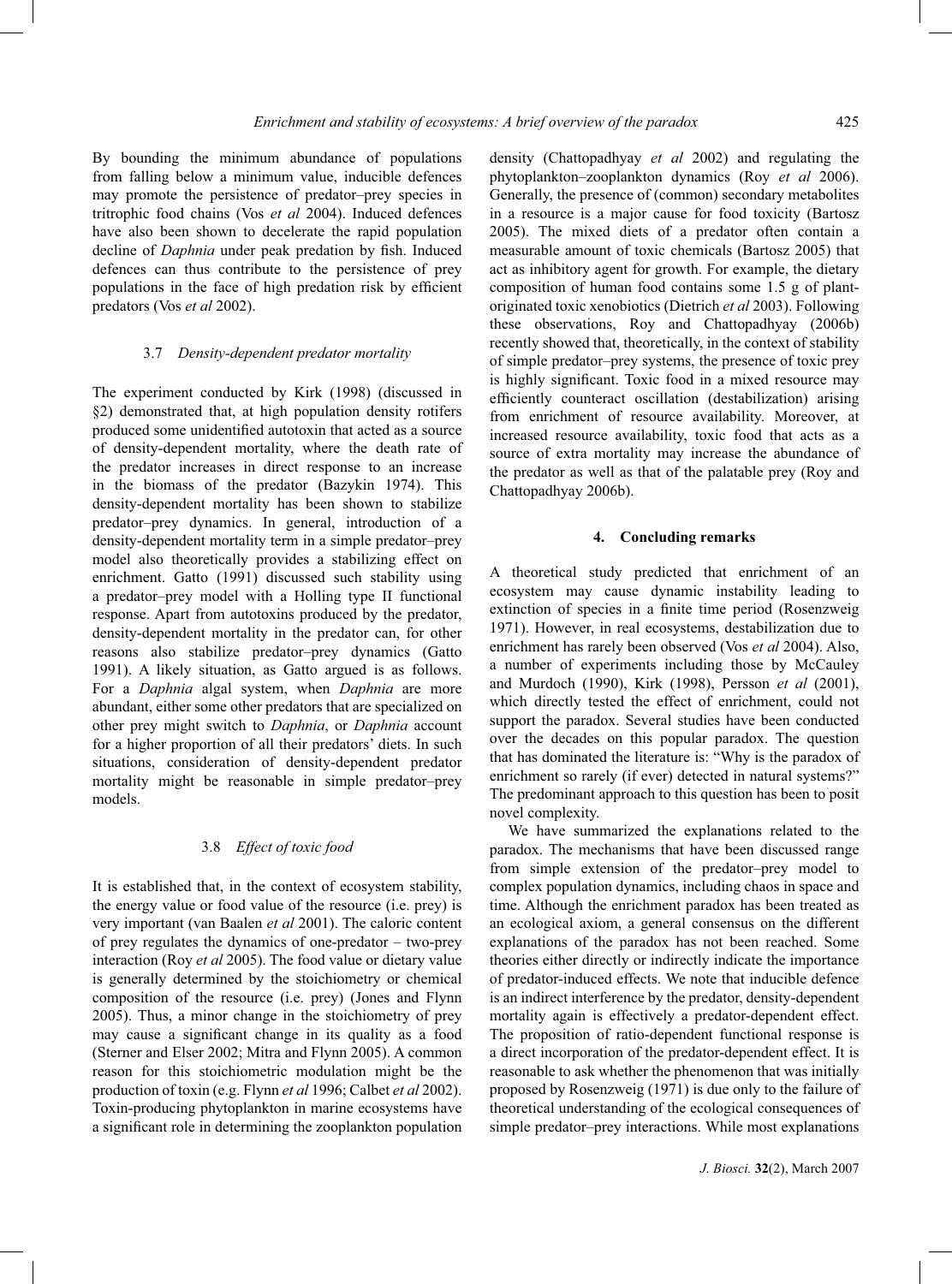By bounding the minimum abundance of populations from falling below a minimum value, inducible defences may promote the persistence of predator–prey species in tritrophic food chains (Vos *et al* 2004). Induced defences have also been shown to decelerate the rapid population decline of *Daphnia* under peak predation by fish. Induced defences can thus contribute to the persistence of prey populations in the face of high predation risk by efficient predators (Vos *et al* 2002).

#### 3.7 *Density-dependent predator mortality*

The experiment conducted by Kirk (1998) (discussed in §2) demonstrated that, at high population density rotifers produced some unidentified autotoxin that acted as a source of density-dependent mortality, where the death rate of the predator increases in direct response to an increase in the biomass of the predator (Bazykin 1974). This density-dependent mortality has been shown to stabilize predator–prey dynamics. In general, introduction of a density-dependent mortality term in a simple predator–prey model also theoretically provides a stabilizing effect on enrichment. Gatto (1991) discussed such stability using a predator–prey model with a Holling type II functional response. Apart from autotoxins produced by the predator, density-dependent mortality in the predator can, for other reasons also stabilize predator–prey dynamics (Gatto 1991). A likely situation, as Gatto argued is as follows. For a *Daphnia* algal system, when *Daphnia* are more abundant, either some other predators that are specialized on other prey might switch to *Daphnia*, or *Daphnia* account for a higher proportion of all their predators' diets. In such situations, consideration of density-dependent predator mortality might be reasonable in simple predator–prey models.

#### 3.8 *Effect of toxic food*

It is established that, in the context of ecosystem stability, the energy value or food value of the resource (i.e. prey) is very important (van Baalen *et al* 2001). The caloric content of prey regulates the dynamics of one-predator – two-prey interaction (Roy *et al* 2005). The food value or dietary value is generally determined by the stoichiometry or chemical composition of the resource (i.e. prey) (Jones and Flynn 2005). Thus, a minor change in the stoichiometry of prey may cause a significant change in its quality as a food (Sterner and Elser 2002; Mitra and Flynn 2005). A common reason for this stoichiometric modulation might be the production of toxin (e.g. Flynn *et al* 1996; Calbet *et al* 2002). Toxin-producing phy toplankton in marine ecosystems have a significant role in determining the zooplankton population density (Chattopadhyay *et al* 2002) and regulating the phytoplankton–zooplankton dynamics (Roy *et al* 2006). Generally, the presence of (common) secondary metabolites in a resource is a major cause for food toxicity (Bartosz 2005). The mixed diets of a predator often contain a measurable amount of toxic chemicals (Bartosz 2005) that act as inhibitory agent for growth. For example, the dietary composition of human food contains some 1.5 g of plantoriginated toxic xenobiotics (Dietrich *et al* 2003). Following these observations, Roy and Chattopadhyay (2006b) recently showed that, theoretically, in the context of stability of simple predator–prey systems, the presence of toxic prey is highly significant. Toxic food in a mixed resource may efficiently counteract oscillation (destabilization) arising from enrichment of resource availability. Moreover, at increased resource availability, toxic food that acts as a source of extra mortality may increase the abundance of the predator as well as that of the palatable prey (Roy and Chattopadhyay 2006b).

#### **4. Concluding remarks**

A theoretical study predicted that enrichment of an ecosystem may cause dynamic instability leading to extinction of species in a finite time period (Rosenzweig 1971). However, in real ecosystems, destabilization due to enrichment has rarely been observed (Vos *et al* 2004). Also, a number of experiments including those by McCauley and Murdoch (1990), Kirk (1998), Persson *et al* (2001), which directly tested the effect of enrichment, could not support the paradox. Several studies have been conducted over the decades on this popular paradox. The question that has dominated the literature is: "Why is the paradox of enrichment so rarely (if ever) detected in natural systems?" The predominant approach to this question has been to posit novel complexity.

We have summarized the explanations related to the paradox. The mechanisms that have been discussed range from simple extension of the predator–prey model to complex population dynamics, including chaos in space and time. Although the enrichment paradox has been treated as an ecological axiom, a general consensus on the different explanations of the paradox has not been reached. Some theories either directly or indirectly indicate the importance of predator-induced effects. We note that inducible defence is an indirect interference by the predator, density-dependent mortality again is effectively a predator-dependent effect. The proposition of ratio-dependent functional response is a direct incorporation of the predator-dependent effect. It is reasonable to ask whether the phenomenon that was initially proposed by Rosenzweig (1971) is due only to the failure of theoretical understanding of the ecological consequences of simple predator–prey interactions. While most explanations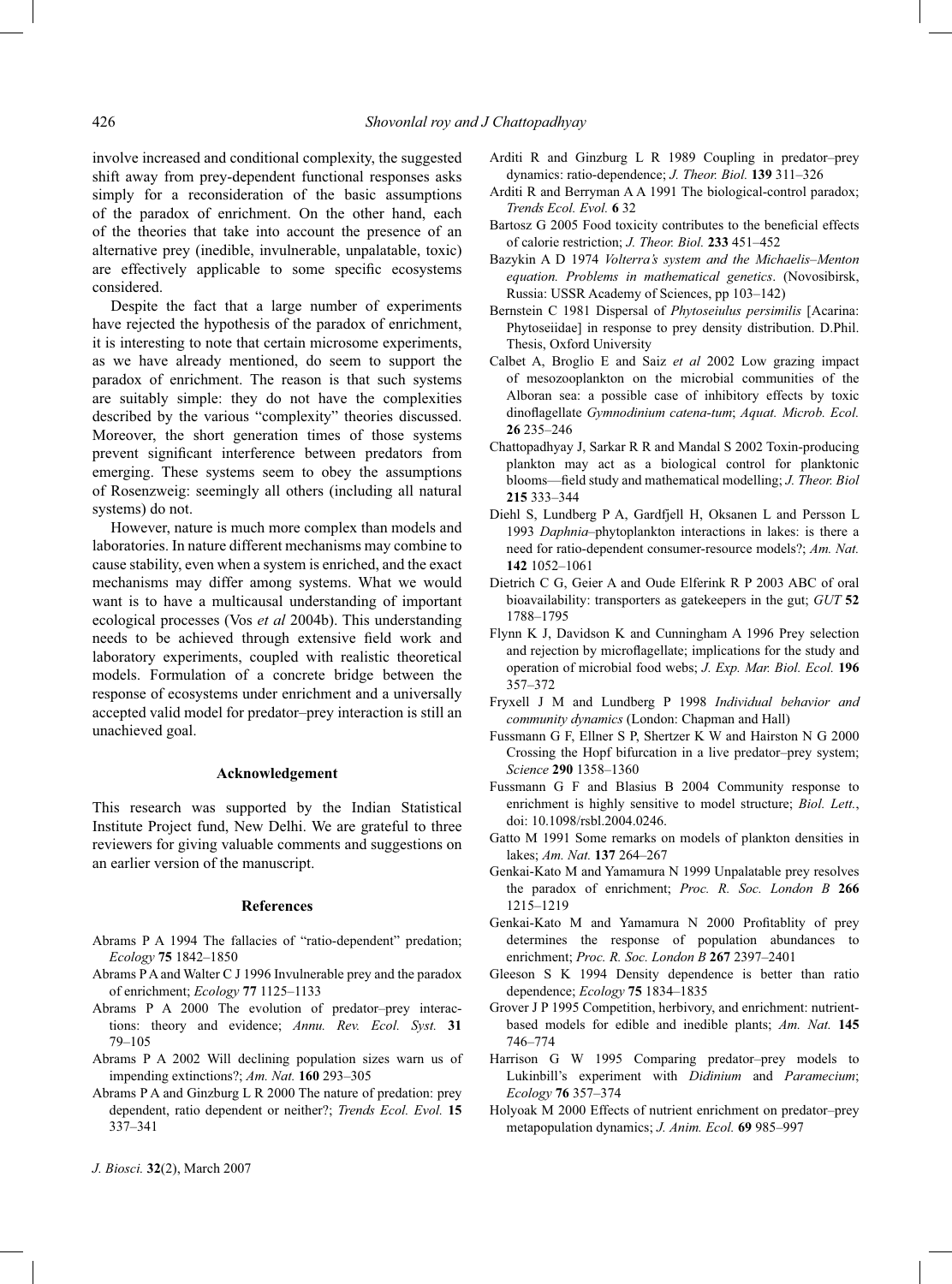involve increased and conditional complexity, the suggested shift away from prey-dependent functional responses asks simply for a reconsideration of the basic assumptions of the paradox of enrichment. On the other hand, each of the theories that take into account the presence of an alternative prey (inedible, invulnerable, unpalatable, toxic) are effectively applicable to some specific ecosystems considered.

Despite the fact that a large number of experiments have rejected the hypothesis of the paradox of enrichment, it is interesting to note that certain microsome experiments, as we have already mentioned, do seem to support the paradox of enrichment. The reason is that such systems are suitably simple: they do not have the complexities described by the various "complexity" theories discussed. Moreover, the short generation times of those systems prevent significant interference between predators from emerging. These systems seem to obey the assumptions of Rosenzweig: seemingly all others (including all natural systems) do not.

However, nature is much more complex than models and laboratories. In nature different mechanisms may combine to cause stability, even when a system is enriched, and the exact mechanisms may differ among systems. What we would want is to have a multicausal understanding of important ecological processes (Vos *et al* 2004b). This understanding needs to be achieved through extensive field work and laboratory experiments, coupled with realistic theoretical models. Formulation of a concrete bridge between the response of ecosystems under enrichment and a universally accepted valid model for predator–prey interaction is still an unachieved goal.

#### **Acknowledgement**

This research was supported by the Indian Statistical Institute Project fund, New Delhi. We are grateful to three reviewers for giving valuable comments and suggestions on an earlier version of the manuscript.

#### **References**

- Abrams P A 1994 The fallacies of "ratio-dependent" predation; *Ecology* **75** 1842–1850
- Abrams P A and Walter C J 1996 Invulnerable prey and the paradox of enrichment; *Ecology* **77** 1125–1133
- Abrams P A 2000 The evolution of predator–prey interactions: theory and evidence; *Annu. Rev. Ecol. Syst.* **31** 79–105
- Abrams P A 2002 Will declining population sizes warn us of impending extinctions?; *Am. Nat.* **160** 293–305
- Abrams P A and Ginzburg L R 2000 The nature of predation: prey de pendent, ratio dependent or neither?; *Trends Ecol. Evol.* **15** 337– 341

*J. Biosci.* **32**(2), March 2007

- Arditi R and Ginzburg L R 1989 Coupling in predator–prey dynamics: ratio-dependence; *J. Theor. Biol.* **139** 311–326
- Arditi R and Berryman A A 1991 The biological-control paradox; *Trends Ecol. Evol.* **6** 32
- Bartosz G 2005 Food toxicity contributes to the beneficial effects of calorie restriction; *J. Theor. Biol.* **233** 451–452
- Bazykin A D 1974 *Volterra's system and the Michaelis–Menton equation. Problems in mathematical genetics*. (Novosibirsk, Russia: USSR Academy of Sciences, pp 103–142)
- Bernstein C 1981 Dispersal of *Phytoseiulus persimilis* [Acarina: Phytoseiidae] in response to prey density distribution. D.Phil. Thesis, Oxford University
- Calbet A, Broglio E and Saiz *et al* 2002 Low grazing impact of mesozoo plankton on the microbial communities of the Alboran sea: a possible case of inhibitory effects by toxic dinoflagellate *Gymnodinium catena-tum*; *Aquat. Microb. Ecol.* **26** 235–246
- Chattopadhyay J, Sarkar R R and Mandal S 2002 Toxin-producing plank ton may act as a biological control for planktonic blooms—field study and mathematical modelling; *J. Theor. Biol* **215** 333–344
- Diehl S, Lundberg P A, Gardfjell H, Oksanen L and Persson L 1993 *Daphnia*–phytoplankton interactions in lakes: is there a need for ratio-dependent consumer-resource models?; *Am. Nat.*  **142** 1052–1061
- Dietrich C G, Geier A and Oude Elferink R P 2003 ABC of oral bioavail ability: transporters as gatekeepers in the gut; *GUT* **52** 1788–1795
- Flynn K J, Davidson K and Cunningham A 1996 Prey selection and rejection by microflagellate; implications for the study and operation of microbial food webs; *J. Exp. Mar. Biol. Ecol.* **196** 357–372
- Fryxell J M and Lundberg P 1998 *Individual behavior and community dynamics* (London: Chapman and Hall)
- Fussmann G F, Ellner S P, Shertzer K W and Hairston N G 2000 Crossing the Hopf bifurcation in a live predator–prey system; *Science* **290** 1358–1360
- Fussmann G F and Blasius B 2004 Community response to enrichment is highly sensitive to model structure; *Biol. Lett.*, doi: 10.1098/rsbl.2004.0246.
- Gatto M 1991 Some remarks on models of plankton densities in lakes; *Am. Nat.* **137** 264–267
- Genkai-Kato M and Yamamura N 1999 Unpalatable prey resolves the para dox of enrichment; *Proc. R. Soc. London B* **266** 1215–1219
- Genkai-Kato M and Yamamura N 2000 Profitablity of prey determines the response of population abundances to enrichment; *Proc. R. Soc. London B* **267** 2397–2401
- Gleeson S K 1994 Density dependence is better than ratio dependence; *Ecology* **75** 1834–1835
- Grover J P 1995 Competition, herbivory, and enrichment: nutrientbased models for edible and inedible plants; *Am. Nat.* **145** 746–774
- Harrison G W 1995 Comparing predator–prey models to Lukinbill's experiment with *Didinium* and *Paramecium*; *Ecology* **76** 357–374
- Holyoak M 2000 Effects of nutrient enrichment on predator–prey metapopulation dynamics; *J. Anim. Ecol.* **69** 985-997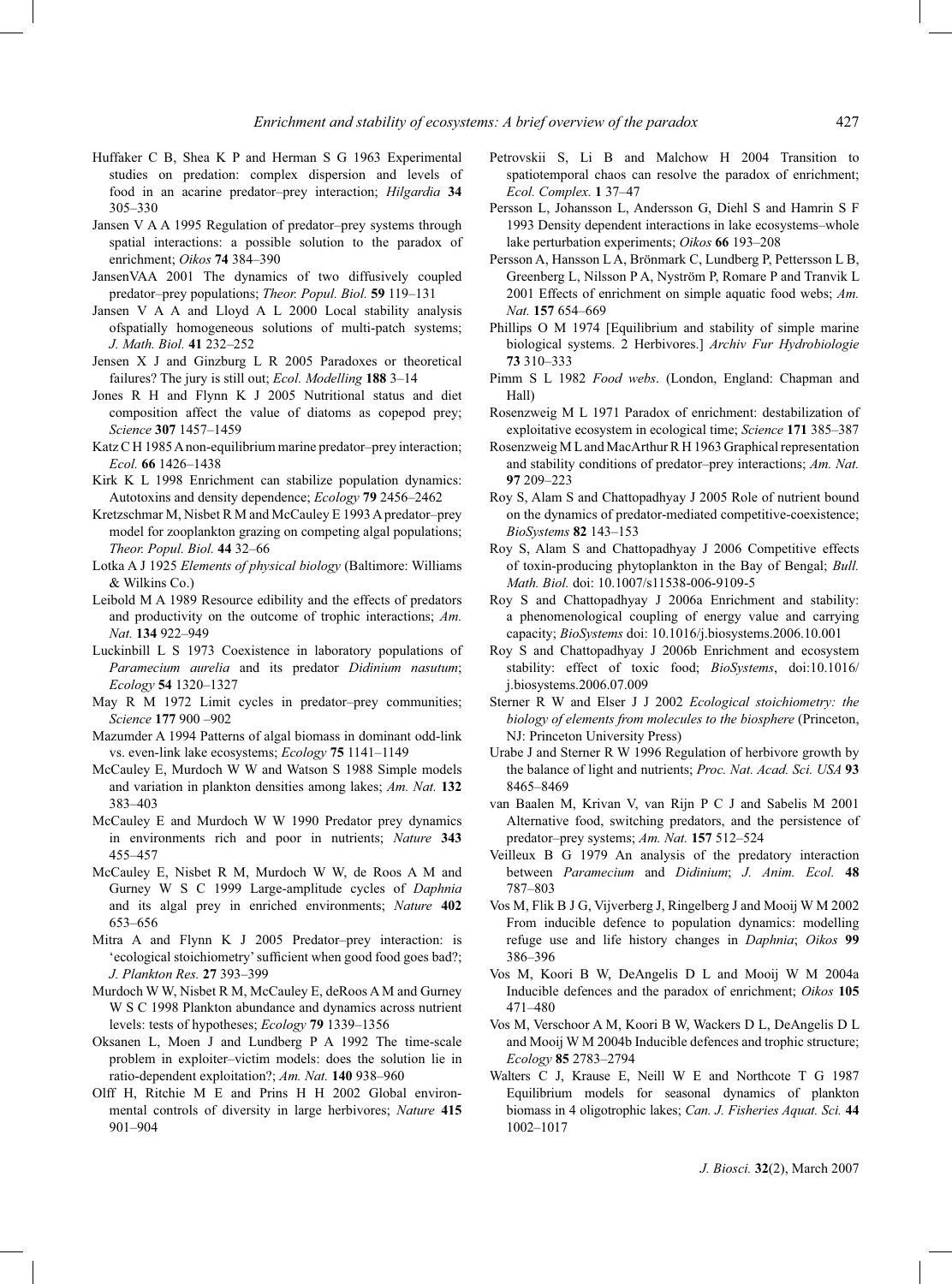- Huffaker C B, Shea K P and Herman S G 1963 Experimental studies on predation: complex dispersion and levels of food in an acarine predator–prey interaction; *Hilgardia* **34** 305–330
- Jansen V A A 1995 Regulation of predator–prey systems through spatial interactions: a possible solution to the paradox of enrichment; *Oikos* **74** 384–390
- JansenVAA 2001 The dynamics of two diffusively coupled predator–prey populations; *Theor. Popul. Biol.* **59** 119–131
- Jansen V A A and Lloyd A L 2000 Local stability analysis ofspatially homogeneous solutions of multi-patch systems; *J. Math. Biol.* **41** 232–252
- Jensen X J and Ginzburg L R 2005 Paradoxes or theoretical failures? The jury is still out; *Ecol. Modelling* **188** 3–14
- Jones R H and Flynn K J 2005 Nutritional status and diet composition affect the value of diatoms as copepod prey; *Science* **307** 1457–1459
- Katz C H 1985 A non-equilibrium marine predator–prey interaction; *Ecol.* **66** 1426–1438
- Kirk K L 1998 Enrichment can stabilize population dynamics: Autotoxins and density dependence; *Ecology* **79** 2456–2462
- Kretzschmar M, Nisbet R M and McCauley E 1993 A predator–prey model for zooplankton grazing on competing algal populations; *Theor. Popul. Biol.* **44** 32–66
- Lotka A J 1925 *Elements of physical biology* (Baltimore: Williams & Wilkins Co.)
- Leibold M A 1989 Resource edibility and the effects of predators and productivity on the outcome of trophic interactions; Am. *Nat.* **134** 922–949
- Luckinbill L S 1973 Coexistence in laboratory populations of *Paramecium aurelia* and its predator *Didinium nasutum*; *Ecology* **54** 1320–1327
- May R M 1972 Limit cycles in predator–prey communities; *Science* **177** 900 –902
- Mazumder A 1994 Patterns of algal biomass in dominant odd-link vs. even-link lake ecosystems; *Ecology* **75** 1141–1149
- McCauley E, Murdoch W W and Watson S 1988 Simple models and variation in plankton densities among lakes; *Am. Nat.* **132** 383–403
- McCauley E and Murdoch W W 1990 Predator prey dynamics in environ ments rich and poor in nutrients; *Nature* **343** 455–457
- McCauley E, Nisbet R M, Murdoch W W, de Roos A M and Gurney W S C 1999 Large-amplitude cycles of *Daphnia* and its algal prey in enriched environments; *Nature* **402** 653–656
- Mitra A and Flynn K J 2005 Predator–prey interaction: is 'ecological stoichiometry' sufficient when good food goes bad?; *J. Plankton Res.* **27** 393–399
- Murdoch W W, Nisbet R M, McCauley E, deRoos A M and Gurney W S C 1998 Plankton abundance and dynamics across nutrient levels: tests of hypotheses; *Ecology* **79** 1339–1356
- Oksanen L, Moen J and Lundberg P A 1992 The time-scale problem in exploiter–victim models: does the solution lie in ratio-dependent ex ploitation?; *Am. Nat.* **140** 938–960
- Olff H, Ritchie M E and Prins H H 2002 Global environmental controls of diversity in large herbivores; *Nature* **415** 901–904
- Petrovskii S, Li B and Malchow H 2004 Transition to spatiotemporal chaos can resolve the paradox of enrichment; *Ecol. Complex.* **1** 37–47
- Persson L, Johansson L, Andersson G, Diehl S and Hamrin S F 1993 Density dependent interactions in lake ecosystems-whole lake perturbation experiments; *Oikos* **66** 193–208
- Persson A, Hansson L A, Brönmark C, Lundberg P, Pettersson L B, Green berg L, Nilsson P A, Nyström P, Romare P and Tranvik L 2001 Effects of enrichment on simple aquatic food webs; *Am. Nat.* **157** 654–669
- Phillips O M 1974 [Equilibrium and stability of simple marine biological systems. 2 Herbivores.] *Archiv Fur Hydrobiologie*  **73** 310–333
- Pimm S L 1982 *Food webs*. (London, England: Chapman and Hall)
- Rosenzweig M L 1971 Paradox of enrichment: destabilization of exploitative ecosystem in ecological time; *Science* 171 385-387
- Rosenzweig M L and MacArthur R H 1963 Graphical representation and stability conditions of predator–prey interactions; *Am. Nat.*  **97** 209–223
- Roy S, Alam S and Chattopadhyay J 2005 Role of nutrient bound on the dynamics of predator-mediated competitive-coexistence; *BioSystems* **82** 143–153
- Roy S, Alam S and Chattopadhyay J 2006 Competitive effects of toxin-producing phytoplankton in the Bay of Bengal; *Bull. Math. Biol.* doi: 10.1007/s11538-006-9109-5
- Roy S and Chattopadhyay J 2006a Enrichment and stability: a phenomenological coupling of energy value and carrying capacity; *BioSystems* doi: 10.1016/j.biosystems.2006.10.001
- Roy S and Chattopadhyay J 2006b Enrichment and ecosystem stability: effect of toxic food; *BioSystems*, doi:10.1016/ j.biosystems.2006.07.009
- Sterner R W and Elser J J 2002 *Ecological stoichiometry: the biology of elements from molecules to the biosphere* (Princeton, NJ: Princeton University Press)
- Urabe J and Sterner R W 1996 Regulation of herbivore growth by the balance of light and nutrients; *Proc. Nat. Acad. Sci. USA* **93** 8465–8469
- van Baalen M, Krivan V, van Rijn P C J and Sabelis M 2001 Alternative food, switching predators, and the persistence of predator–prey systems; *Am. Nat.* **157** 512–524
- Veilleux B G 1979 An analysis of the predatory interaction between *Paramecium* and *Didinium*; *J. Anim. Ecol.* **48** 787–803
- Vos M, Flik B J G, Vijverberg J, Ringelberg J and Mooij W M 2002 From inducible defence to population dynamics: modelling refuge use and life history changes in *Daphnia*; *Oikos* **99** 386–396
- Vos M, Koori B W, DeAngelis D L and Mooij W M 2004a Inducible de fences and the paradox of enrichment; *Oikos* **105** 471–480
- Vos M, Verschoor A M, Koori B W, Wackers D L, DeAngelis D L and Mooij W M 2004b Inducible defences and trophic structure; *Ecology* **85** 2783–2794
- Walters C J, Krause E, Neill W E and Northcote T G 1987 Equilibrium models for seasonal dynamics of plankton biomass in 4 oligotrophic lakes; *Can. J. Fisheries Aquat. Sci.* **44** 1002–1017